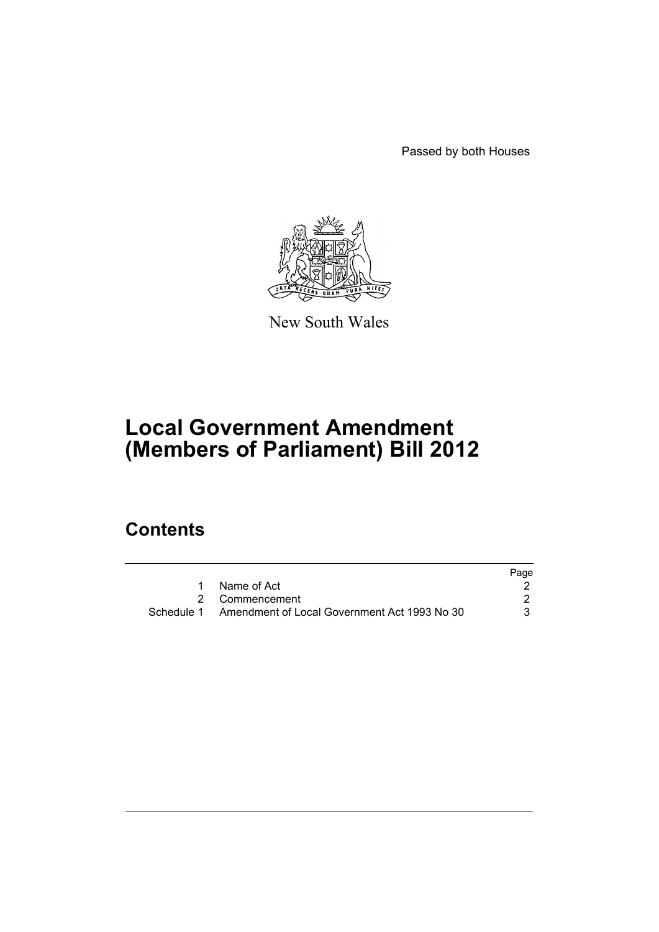Passed by both Houses



New South Wales

# **Local Government Amendment (Members of Parliament) Bill 2012**

# **Contents**

|                                                         | Page |
|---------------------------------------------------------|------|
| 1 Name of Act                                           |      |
| 2 Commencement                                          |      |
| Schedule 1 Amendment of Local Government Act 1993 No 30 |      |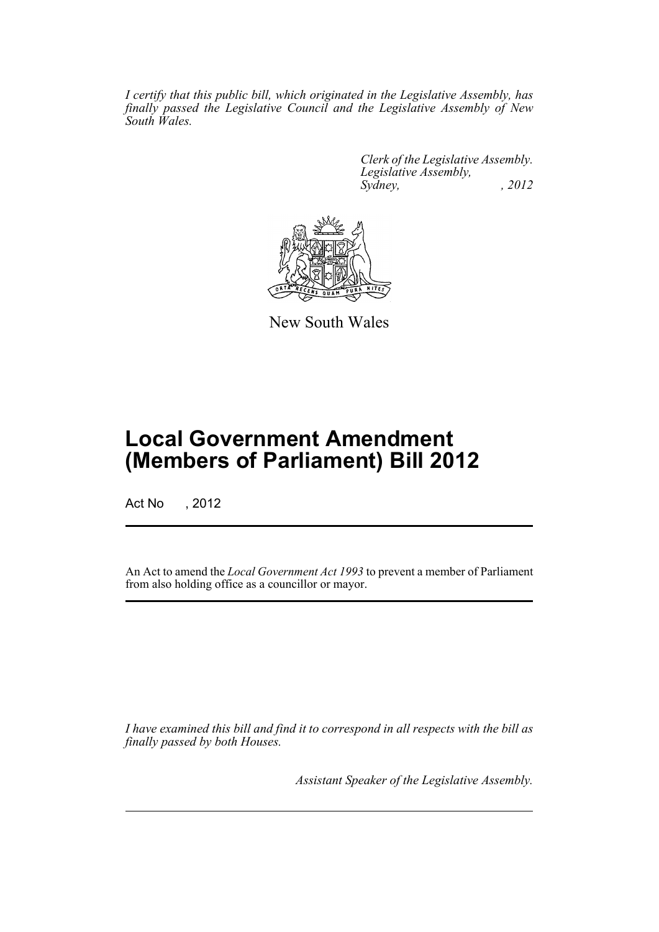*I certify that this public bill, which originated in the Legislative Assembly, has finally passed the Legislative Council and the Legislative Assembly of New South Wales.*

> *Clerk of the Legislative Assembly. Legislative Assembly, Sydney, , 2012*



New South Wales

# **Local Government Amendment (Members of Parliament) Bill 2012**

Act No , 2012

An Act to amend the *Local Government Act 1993* to prevent a member of Parliament from also holding office as a councillor or mayor.

*I have examined this bill and find it to correspond in all respects with the bill as finally passed by both Houses.*

*Assistant Speaker of the Legislative Assembly.*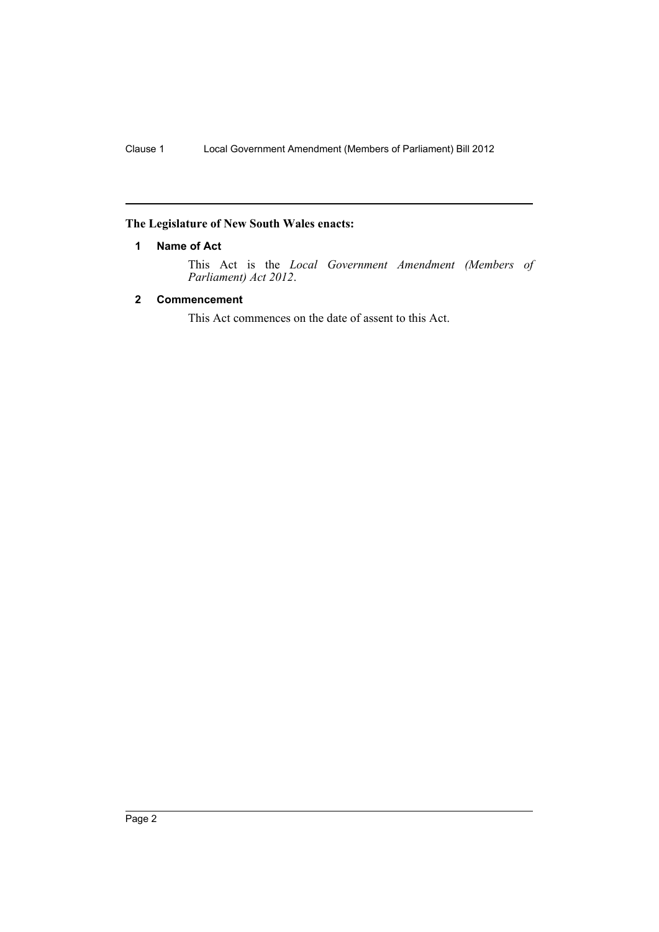## <span id="page-3-0"></span>**The Legislature of New South Wales enacts:**

### **1 Name of Act**

This Act is the *Local Government Amendment (Members of Parliament) Act 2012*.

### <span id="page-3-1"></span>**2 Commencement**

This Act commences on the date of assent to this Act.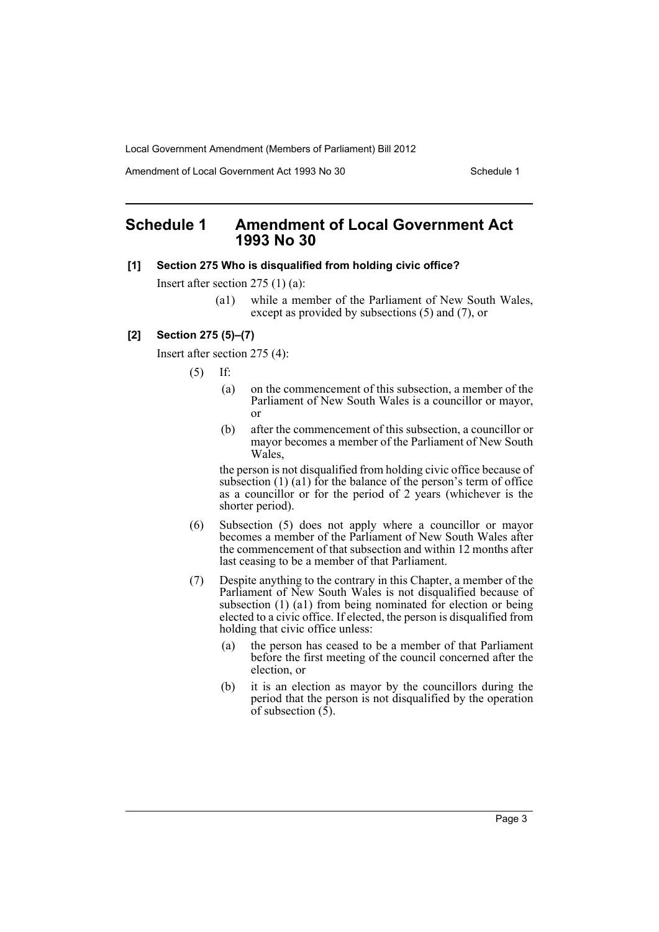Local Government Amendment (Members of Parliament) Bill 2012

Amendment of Local Government Act 1993 No 30 Schedule 1

# <span id="page-4-0"></span>**Schedule 1 Amendment of Local Government Act 1993 No 30**

#### **[1] Section 275 Who is disqualified from holding civic office?**

Insert after section 275 (1) (a):

(a1) while a member of the Parliament of New South Wales, except as provided by subsections (5) and (7), or

### **[2] Section 275 (5)–(7)**

Insert after section 275 (4):

 $(5)$  If:

- (a) on the commencement of this subsection, a member of the Parliament of New South Wales is a councillor or mayor, or
- (b) after the commencement of this subsection, a councillor or mayor becomes a member of the Parliament of New South Wales,

the person is not disqualified from holding civic office because of subsection  $(1)$   $(1)$  for the balance of the person's term of office as a councillor or for the period of 2 years (whichever is the shorter period).

- (6) Subsection (5) does not apply where a councillor or mayor becomes a member of the Parliament of New South Wales after the commencement of that subsection and within 12 months after last ceasing to be a member of that Parliament.
- (7) Despite anything to the contrary in this Chapter, a member of the Parliament of New South Wales is not disqualified because of subsection  $(1)$   $(2)$  from being nominated for election or being elected to a civic office. If elected, the person is disqualified from holding that civic office unless:
	- (a) the person has ceased to be a member of that Parliament before the first meeting of the council concerned after the election, or
	- (b) it is an election as mayor by the councillors during the period that the person is not disqualified by the operation of subsection  $(\bar{5})$ .